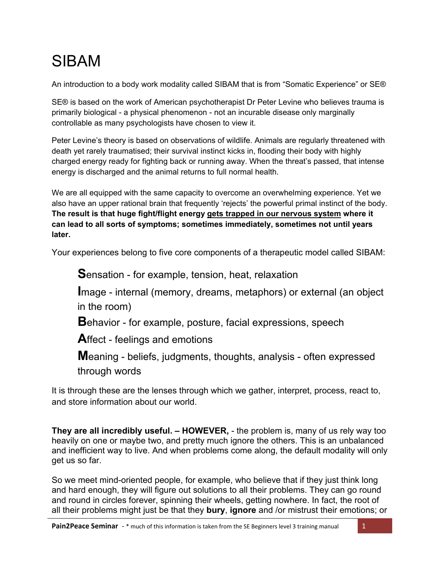# SIBAM

An introduction to a body work modality called SIBAM that is from "Somatic Experience" or SE®

SE® is based on the work of American psychotherapist Dr Peter Levine who believes trauma is primarily biological - a physical phenomenon - not an incurable disease only marginally controllable as many psychologists have chosen to view it.

Peter Levine's theory is based on observations of wildlife. Animals are regularly threatened with death yet rarely traumatised; their survival instinct kicks in, flooding their body with highly charged energy ready for fighting back or running away. When the threat's passed, that intense energy is discharged and the animal returns to full normal health.

We are all equipped with the same capacity to overcome an overwhelming experience. Yet we also have an upper rational brain that frequently 'rejects' the powerful primal instinct of the body. **The result is that huge fight/flight energy gets trapped in our nervous system where it can lead to all sorts of symptoms; sometimes immediately, sometimes not until years later.** 

Your experiences belong to five core components of a therapeutic model called SIBAM:

**S**ensation - for example, tension, heat, relaxation

**I**mage - internal (memory, dreams, metaphors) or external (an object in the room)

**B**ehavior - for example, posture, facial expressions, speech

**A**ffect - feelings and emotions

**M**eaning - beliefs, judgments, thoughts, analysis - often expressed through words

It is through these are the lenses through which we gather, interpret, process, react to, and store information about our world.

**They are all incredibly useful. – HOWEVER,** - the problem is, many of us rely way too heavily on one or maybe two, and pretty much ignore the others. This is an unbalanced and inefficient way to live. And when problems come along, the default modality will only get us so far.

So we meet mind-oriented people, for example, who believe that if they just think long and hard enough, they will figure out solutions to all their problems. They can go round and round in circles forever, spinning their wheels, getting nowhere. In fact, the root of all their problems might just be that they **bury**, **ignore** and /or mistrust their emotions; or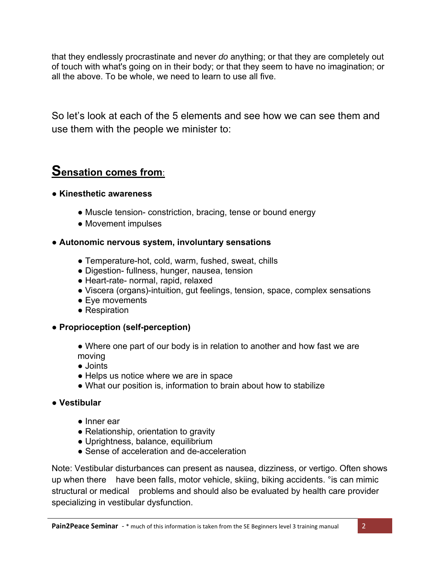that they endlessly procrastinate and never *do* anything; or that they are completely out of touch with what's going on in their body; or that they seem to have no imagination; or all the above. To be whole, we need to learn to use all five.

So let's look at each of the 5 elements and see how we can see them and use them with the people we minister to:

## **Sensation comes from**:

### ● **Kinesthetic awareness**

- Muscle tension- constriction, bracing, tense or bound energy
- Movement impulses

### ● **Autonomic nervous system, involuntary sensations**

- Temperature-hot, cold, warm, fushed, sweat, chills
- Digestion- fullness, hunger, nausea, tension
- Heart-rate- normal, rapid, relaxed
- Viscera (organs)-intuition, gut feelings, tension, space, complex sensations
- Eye movements
- Respiration

## ● **Proprioception (self-perception)**

• Where one part of our body is in relation to another and how fast we are moving

- Joints
- Helps us notice where we are in space
- What our position is, information to brain about how to stabilize

## ● **Vestibular**

- Inner ear
- Relationship, orientation to gravity
- Uprightness, balance, equilibrium
- Sense of acceleration and de-acceleration

Note: Vestibular disturbances can present as nausea, dizziness, or vertigo. Often shows up when there have been falls, motor vehicle, skiing, biking accidents. °is can mimic structural or medical problems and should also be evaluated by health care provider specializing in vestibular dysfunction.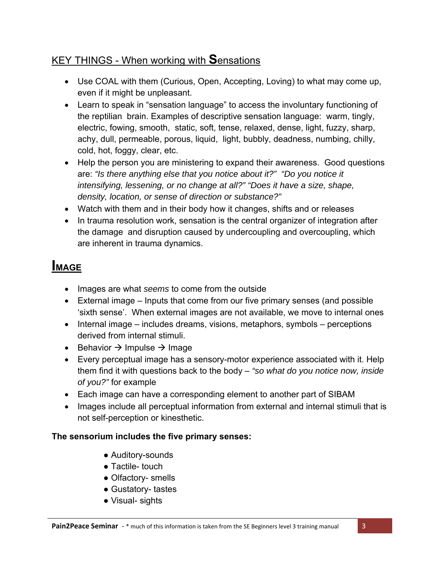## KEY THINGS - When working with **S**ensations

- Use COAL with them (Curious, Open, Accepting, Loving) to what may come up, even if it might be unpleasant.
- Learn to speak in "sensation language" to access the involuntary functioning of the reptilian brain. Examples of descriptive sensation language: warm, tingly, electric, fowing, smooth, static, soft, tense, relaxed, dense, light, fuzzy, sharp, achy, dull, permeable, porous, liquid, light, bubbly, deadness, numbing, chilly, cold, hot, foggy, clear, etc.
- Help the person you are ministering to expand their awareness. Good questions are: *"Is there anything else that you notice about it?" "Do you notice it intensifying, lessening, or no change at all?" "Does it have a size, shape, density, location, or sense of direction or substance?"*
- Watch with them and in their body how it changes, shifts and or releases
- In trauma resolution work, sensation is the central organizer of integration after the damage and disruption caused by undercoupling and overcoupling, which are inherent in trauma dynamics.

## **IMAGE**

- Images are what *seems* to come from the outside
- External image Inputs that come from our five primary senses (and possible 'sixth sense'. When external images are not available, we move to internal ones
- $\bullet$  Internal image includes dreams, visions, metaphors, symbols perceptions derived from internal stimuli.
- **Behavior**  $\rightarrow$  **Impulse**  $\rightarrow$  **Image**
- Every perceptual image has a sensory-motor experience associated with it. Help them find it with questions back to the body – *"so what do you notice now, inside of you?"* for example
- Each image can have a corresponding element to another part of SIBAM
- Images include all perceptual information from external and internal stimuli that is not self-perception or kinesthetic.

## **The sensorium includes the five primary senses:**

- Auditory-sounds
- Tactile- touch
- Olfactory- smells
- Gustatory- tastes
- Visual- sights